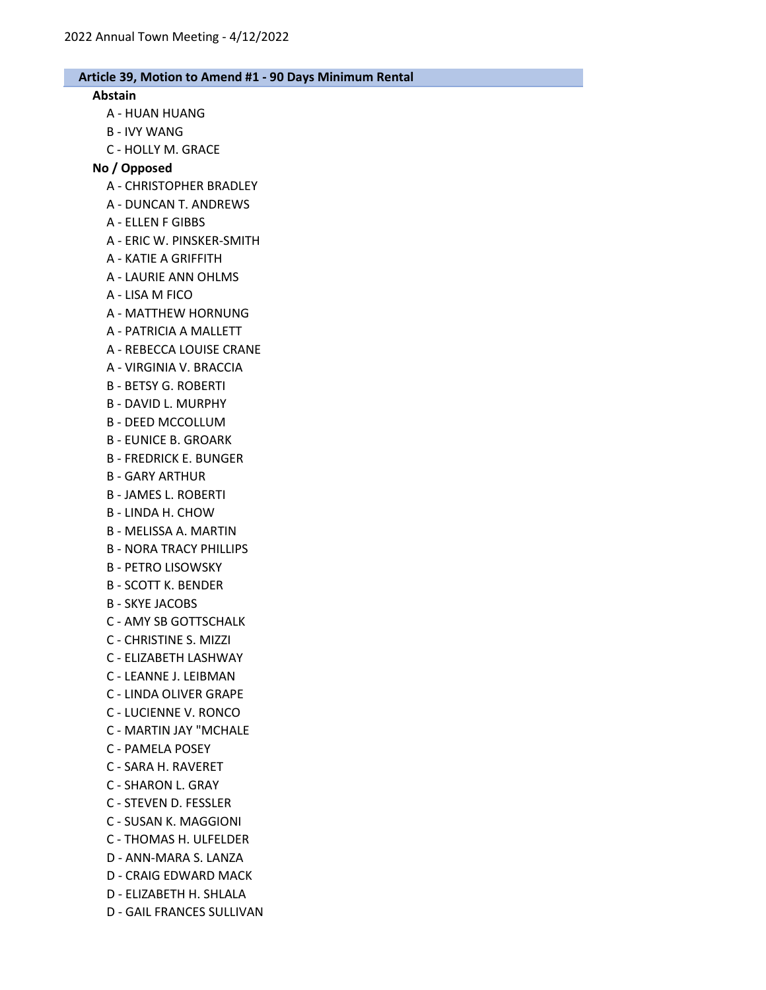#### Abstain

- A HUAN HUANG
- B IVY WANG
- C HOLLY M. GRACE

#### No / Opposed

- A CHRISTOPHER BRADLEY
- A DUNCAN T. ANDREWS
- A ELLEN F GIBBS
- A ERIC W. PINSKER-SMITH
- A KATIE A GRIFFITH
- A LAURIE ANN OHLMS
- A LISA M FICO
- A MATTHEW HORNUNG
- A PATRICIA A MALLETT
- A REBECCA LOUISE CRANE
- A VIRGINIA V. BRACCIA
- B BETSY G. ROBERTI
- B DAVID L. MURPHY
- B DEED MCCOLLUM
- B EUNICE B. GROARK
- B FREDRICK E. BUNGER
- B GARY ARTHUR
- B JAMES L. ROBERTI
- B LINDA H. CHOW
- B MELISSA A. MARTIN
- B NORA TRACY PHILLIPS
- B PETRO LISOWSKY
- B SCOTT K. BENDER
- B SKYE JACOBS
- C AMY SB GOTTSCHALK
- C CHRISTINE S. MIZZI
- C ELIZABETH LASHWAY
- C LEANNE J. LEIBMAN
- C LINDA OLIVER GRAPE
- C LUCIENNE V. RONCO
- C MARTIN JAY "MCHALE
- C PAMELA POSEY
- C SARA H. RAVERET
- C SHARON L. GRAY
- C STEVEN D. FESSLER
- C SUSAN K. MAGGIONI
- C THOMAS H. ULFELDER
- D ANN-MARA S. LANZA
- D CRAIG EDWARD MACK
- D ELIZABETH H. SHLALA
- D GAIL FRANCES SULLIVAN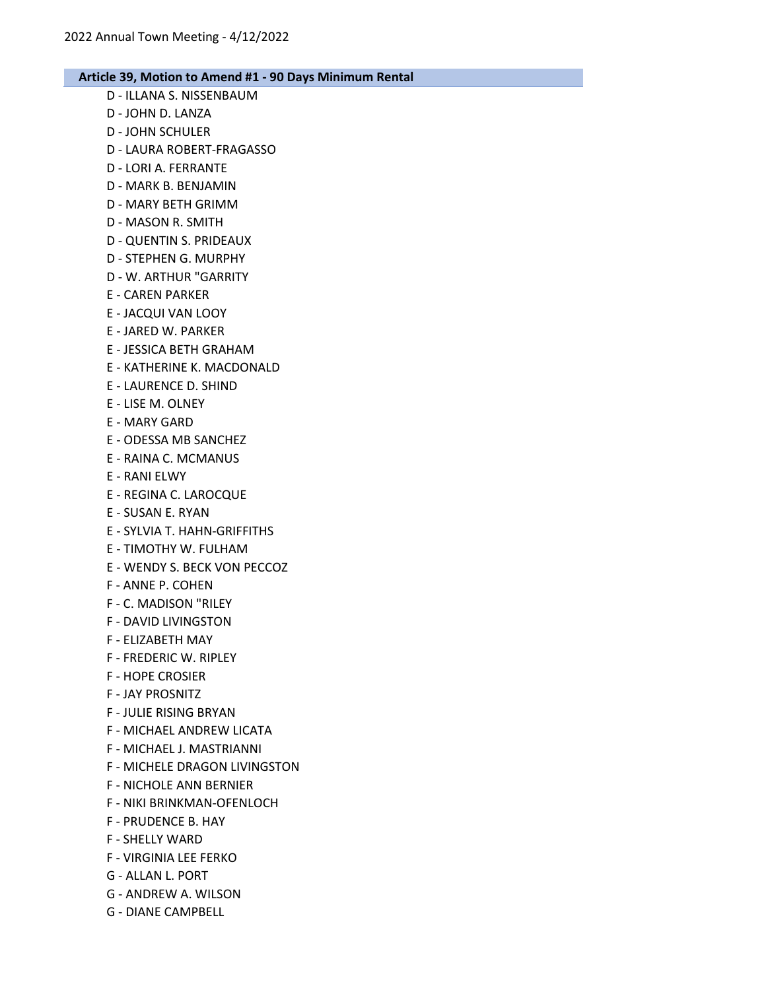- D ILLANA S. NISSENBAUM D - JOHN D. LANZA D - JOHN SCHULER D - LAURA ROBERT-FRAGASSO D - LORI A. FERRANTE D - MARK B. BENJAMIN D - MARY BETH GRIMM D - MASON R. SMITH D - QUENTIN S. PRIDEAUX D - STEPHEN G. MURPHY D - W. ARTHUR "GARRITY E - CAREN PARKER E - JACQUI VAN LOOY E - JARED W. PARKER E - JESSICA BETH GRAHAM E - KATHERINE K. MACDONALD E - LAURENCE D. SHIND E - LISE M. OLNEY E - MARY GARD E - ODESSA MB SANCHEZ E - RAINA C. MCMANUS E - RANI ELWY E - REGINA C. LAROCQUE E - SUSAN E. RYAN E - SYLVIA T. HAHN-GRIFFITHS E - TIMOTHY W. FULHAM E - WENDY S. BECK VON PECCOZ F - ANNE P. COHEN
- F C. MADISON "RILEY
- F DAVID LIVINGSTON
- F ELIZABETH MAY
- F FREDERIC W. RIPLEY
- F HOPE CROSIER
- F JAY PROSNITZ
- F JULIE RISING BRYAN
- F MICHAEL ANDREW LICATA
- F MICHAEL J. MASTRIANNI
- F MICHELE DRAGON LIVINGSTON
- F NICHOLE ANN BERNIER
- F NIKI BRINKMAN-OFENLOCH
- F PRUDENCE B. HAY
- F SHELLY WARD
- F VIRGINIA LEE FERKO
- G ALLAN L. PORT
- G ANDREW A. WILSON
- G DIANE CAMPBELL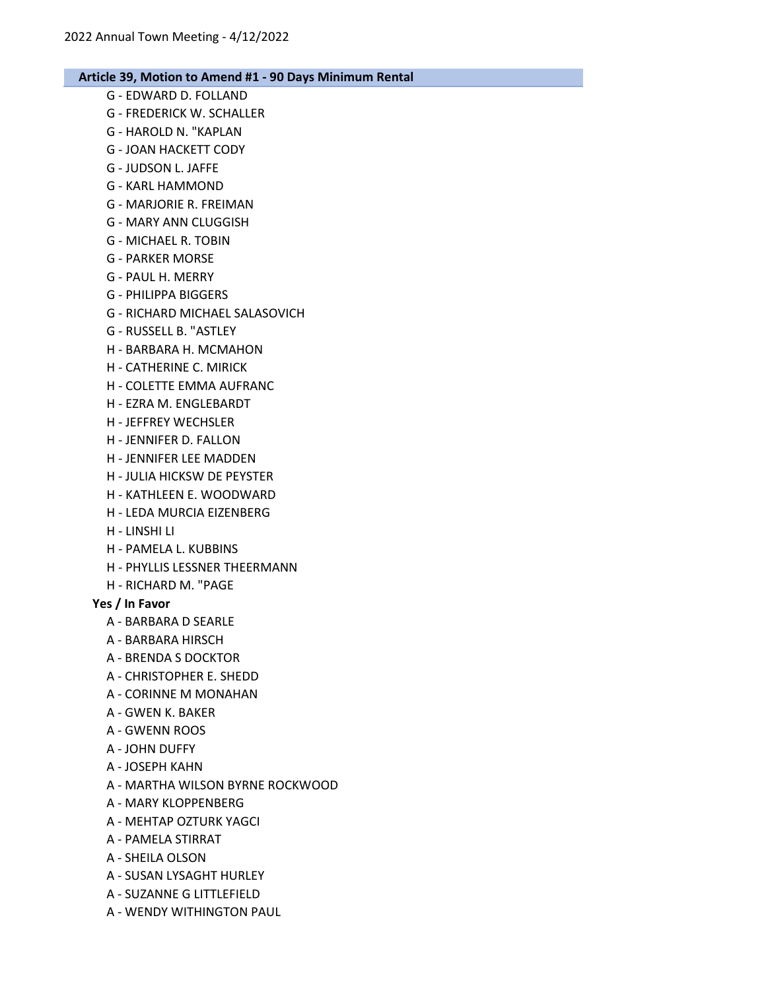- G EDWARD D. FOLLAND G - FREDERICK W. SCHALLER
- G HAROLD N. "KAPLAN
- G JOAN HACKETT CODY
- G JUDSON L. JAFFE
- G KARL HAMMOND
- G MARJORIE R. FREIMAN
- G MARY ANN CLUGGISH
- G MICHAEL R. TOBIN
- G PARKER MORSE
- G PAUL H. MERRY
- G PHILIPPA BIGGERS
- G RICHARD MICHAEL SALASOVICH
- G RUSSELL B. "ASTLEY
- H BARBARA H. MCMAHON
- H CATHERINE C. MIRICK
- H COLETTE EMMA AUFRANC
- H EZRA M. ENGLEBARDT
- H JEFFREY WECHSLER
- H JENNIFER D. FALLON
- H JENNIFER LEE MADDEN
- H JULIA HICKSW DE PEYSTER
- H KATHLEEN E. WOODWARD
- H LEDA MURCIA EIZENBERG
- H LINSHI LI
- H PAMELA L. KUBBINS
- H PHYLLIS LESSNER THEERMANN
- H RICHARD M. "PAGE

### Yes / In Favor

- A BARBARA D SEARLE
- A BARBARA HIRSCH
- A BRENDA S DOCKTOR
- A CHRISTOPHER E. SHEDD
- A CORINNE M MONAHAN
- A GWEN K. BAKER
- A GWENN ROOS
- A JOHN DUFFY
- A JOSEPH KAHN
- A MARTHA WILSON BYRNE ROCKWOOD
- A MARY KLOPPENBERG
- A MEHTAP OZTURK YAGCI
- A PAMELA STIRRAT
- A SHEILA OLSON
- A SUSAN LYSAGHT HURLEY
- A SUZANNE G LITTLEFIELD
- A WENDY WITHINGTON PAUL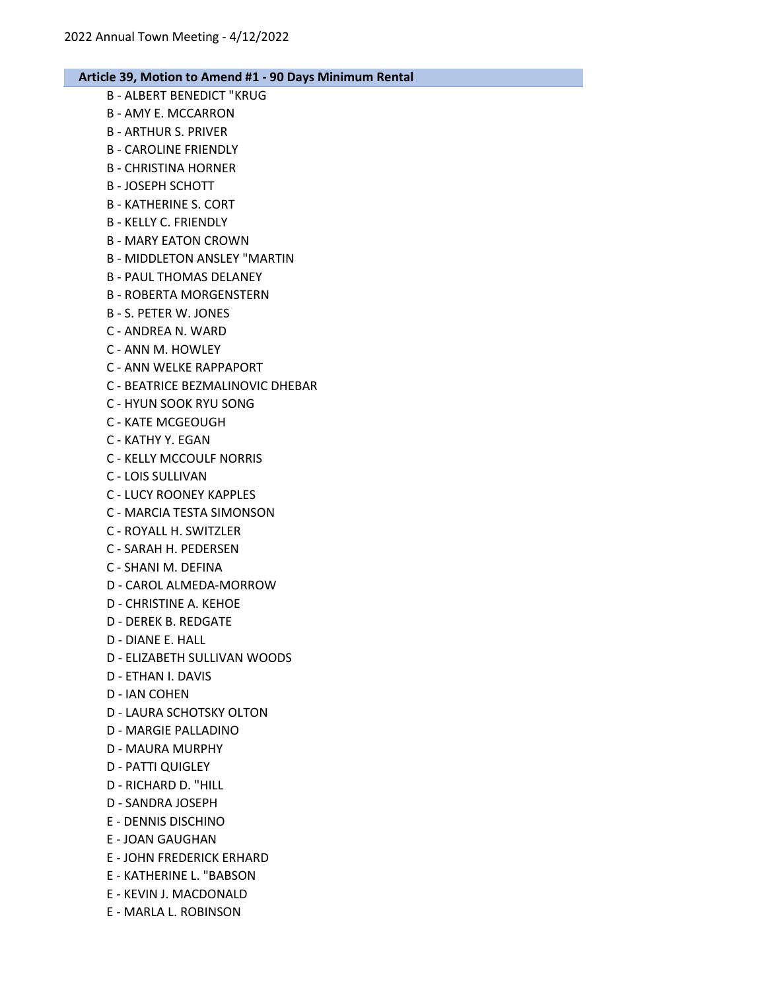- B ALBERT BENEDICT "KRUG B - AMY E. MCCARRON B - ARTHUR S. PRIVER B - CAROLINE FRIENDLY
- B CHRISTINA HORNER
- B JOSEPH SCHOTT
- B KATHERINE S. CORT
- B KELLY C. FRIENDLY
- B MARY EATON CROWN
- B MIDDLETON ANSLEY "MARTIN
- B PAUL THOMAS DELANEY
- B ROBERTA MORGENSTERN
- B S. PETER W. JONES
- C ANDREA N. WARD
- C ANN M. HOWLEY
- C ANN WELKE RAPPAPORT
- C BEATRICE BEZMALINOVIC DHEBAR
- C HYUN SOOK RYU SONG
- C KATE MCGEOUGH
- C KATHY Y. EGAN
- C KELLY MCCOULF NORRIS
- C LOIS SULLIVAN
- C LUCY ROONEY KAPPLES
- C MARCIA TESTA SIMONSON
- C ROYALL H. SWITZLER
- C SARAH H. PEDERSEN
- C SHANI M. DEFINA
- D CAROL ALMEDA-MORROW
- D CHRISTINE A. KEHOE
- D DEREK B. REDGATE
- D DIANE E. HALL
- D ELIZABETH SULLIVAN WOODS
- D ETHAN I. DAVIS
- D IAN COHEN
- D LAURA SCHOTSKY OLTON
- D MARGIE PALLADINO
- D MAURA MURPHY
- D PATTI QUIGLEY
- D RICHARD D. "HILL
- D SANDRA JOSEPH
- E DENNIS DISCHINO
- E JOAN GAUGHAN
- E JOHN FREDERICK ERHARD
- E KATHERINE L. "BABSON
- E KEVIN J. MACDONALD
- E MARLA L. ROBINSON